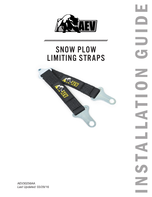

## snow plow limiting straps



ENSTALLATION GUIDE u. F Ł  $\overline{\phantom{0}}$ Ξ  $\overline{\phantom{a}}$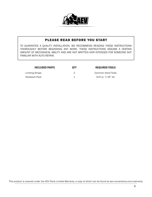

## PLEASE READ BEFORE YOU START

TO GUARANTEE A QUALITY INSTALLATION, WE RECOMMEND READING THESE INSTRUCTIONS THOROUGHLY BEFORE BEGINNING ANY WORK. THESE INSTRUCTIONS ASSUME A CERTAIN AMOUNT OF MECHANICAL ABILITY AND ARE NOT WRITTEN NOR INTENDED FOR SOMEONE NOT FAMILIAR WITH AUTO REPAIR.

| <b>INCLUDED PARTS</b> | 0TY | <b>REQUIRED TOOLS</b> |
|-----------------------|-----|-----------------------|
| Limiting Straps       |     | Common Hand Tools     |
| Hardware Pack         |     | Drill w/ 7/16" bit    |

This product is covered under the AEV Parts Limited Warranty, a copy of which can be found at aev-conversions.com/warranty.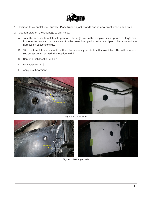

- 1. Position truck on flat level surface. Place truck on jack stands and remove front wheels and tires
- 2. Use template on the last page to drill holes.
	- A. Tape the supplied template into position. The large hole in the template lines up with the large hole in the frame rearward of the shock. Smaller holes line up with brake line clip on driver side and wire harness on passenger side.
	- B. Trim the template and cut out the three holes leaving the circle with cross intact. This will be where you center punch to mark the location to drill.
	- C. Center punch location of hole
	- D. Drill holes to 7/16
	- E. Apply rust treatment





*Figure 1 Driver Side*



*Figure 2 Passenger Side*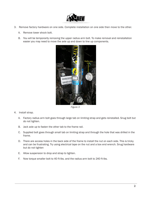

- 3. Remove factory hardware on one side. Complete installation on one side then move to the other.
	- A. Remove lower shock bolt.
	- B. You will be temporarily removing the upper radius arm bolt. To make removal and reinstallation easier you may need to move the axle up and down to line up components.



*Figure 3* 

- 4. Install strap.
	- A. Factory radius arm bolt goes through large tab on limiting strap and gets reinstalled. Snug bolt but do not tighten.
	- B. Jack axle up to fasten the other tab to the frame rail.
	- C. Supplied bolt goes through small tab on limiting strap and through the hole that was drilled in the frame.
	- D. There are access holes in the back side of the frame to install the nut on each side. This is tricky and can be frustrating. Try using electrical tape on the nut and a box end wrench. Snug hardware but do not tighten
	- E. Allow suspension to drop and strap to tighten.
	- F. Now torque smaller bolt to 40 ft-lbs. and the radius arm bolt to 240 ft-lbs.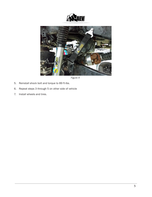



*Figure 4* 

- 5. Reinstall shock bolt and torque to 89 ft-lbs.
- 6. Repeat steps 3 through 5 on other side of vehicle
- 7. Install wheels and tires.